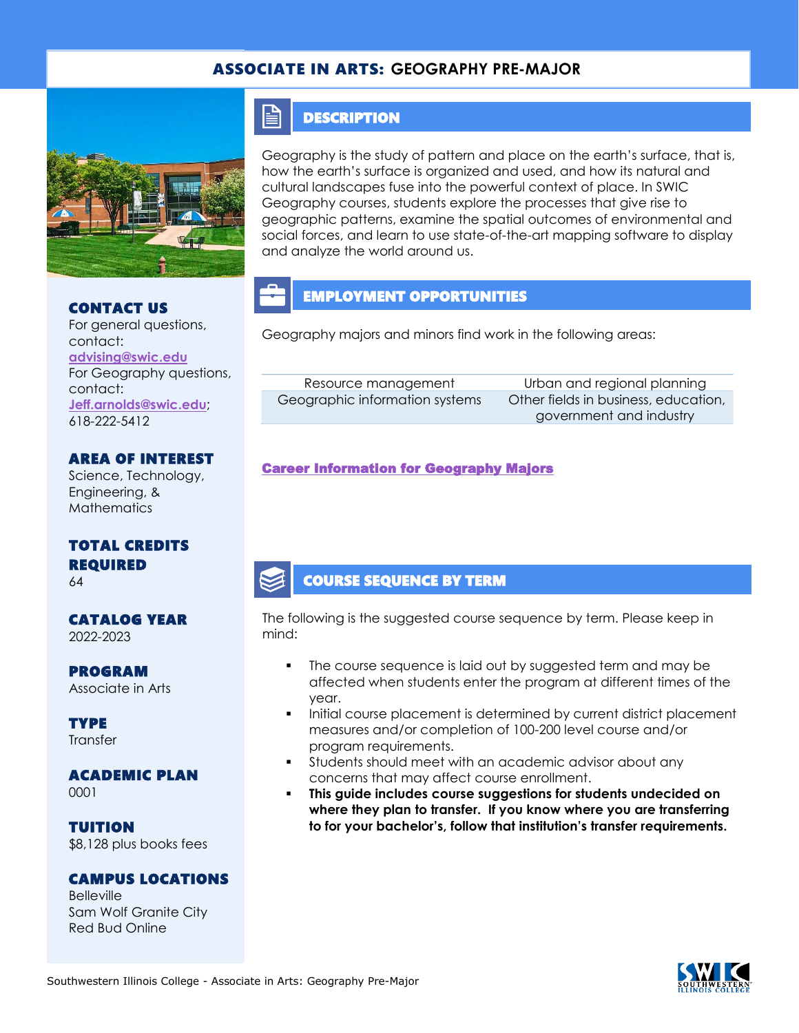## ASSOCIATE IN ARTS: **GEOGRAPHY PRE-MAJOR**



#### CONTACT US

For general questions, contact: **[advising@swic.edu](mailto:advising@swic.edu)** For Geography questions, contact: **[Jeff.arnolds@swic.edu](mailto:Jeff.arnolds@swic.edu)**; 618-222-5412

#### AREA OF INTEREST

Science, Technology, Engineering, & **Mathematics** 

## TOTAL CREDITS REQUIRED

64

#### CATALOG YEAR 2022-2023

PROGRAM Associate in Arts

**TYPE Transfer** 

### ACADEMIC PLAN

0001

TUITION \$8,128 plus books fees

#### CAMPUS LOCATIONS

**Belleville** Sam Wolf Granite City Red Bud Online

## **DESCRIPTION**

E

Geography is the study of pattern and place on the earth's surface, that is, how the earth's surface is organized and used, and how its natural and cultural landscapes fuse into the powerful context of place. In SWIC Geography courses, students explore the processes that give rise to geographic patterns, examine the spatial outcomes of environmental and social forces, and learn to use state-of-the-art mapping software to display and analyze the world around us.

## EMPLOYMENT OPPORTUNITIES

Geography majors and minors find work in the following areas:

| Resource management            | Urban and       |
|--------------------------------|-----------------|
| Geographic information systems | Other fields in |
|                                | anvernm         |

regional planning business, education, ent and industry

#### [Career Information for Geography Majors](https://www.onetonline.org/find/quick?s=geography)

### COURSE SEQUENCE BY TERM

The following is the suggested course sequence by term. Please keep in mind:

- The course sequence is laid out by suggested term and may be affected when students enter the program at different times of the year.
- Initial course placement is determined by current district placement measures and/or completion of 100-200 level course and/or program requirements.
- Students should meet with an academic advisor about any concerns that may affect course enrollment.
- **This guide includes course suggestions for students undecided on where they plan to transfer. If you know where you are transferring to for your bachelor's, follow that institution's transfer requirements.**